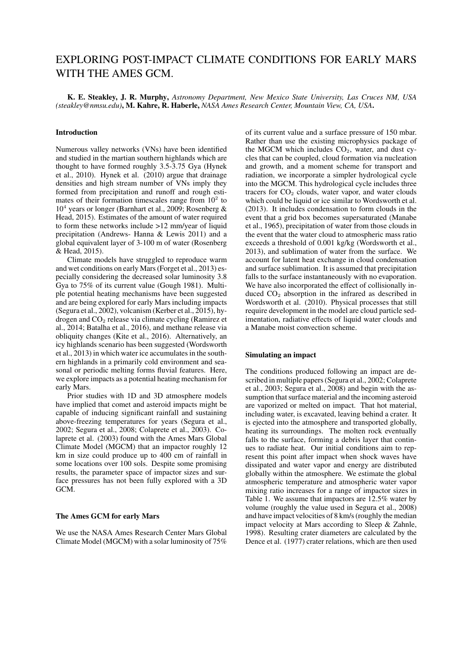# EXPLORING POST-IMPACT CLIMATE CONDITIONS FOR EARLY MARS WITH THE AMES GCM.

K. E. Steakley, J. R. Murphy, *Astronomy Department, New Mexico State University, Las Cruces NM, USA (steakley@nmsu.edu)*, M. Kahre, R. Haberle, *NASA Ames Research Center, Mountain View, CA, USA*.

## Introduction

Numerous valley networks (VNs) have been identified and studied in the martian southern highlands which are thought to have formed roughly 3.5-3.75 Gya (Hynek et al., 2010). Hynek et al. (2010) argue that drainage densities and high stream number of VNs imply they formed from precipitation and runoff and rough estimates of their formation timescales range from  $10<sup>2</sup>$  to 10<sup>4</sup> years or longer (Barnhart et al., 2009; Rosenberg & Head, 2015). Estimates of the amount of water required to form these networks include >12 mm/year of liquid precipitation (Andrews- Hanna & Lewis 2011) and a global equivalent layer of 3-100 m of water (Rosenberg & Head, 2015).

Climate models have struggled to reproduce warm and wet conditions on early Mars (Forget et al., 2013) especially considering the decreased solar luminosity 3.8 Gya to 75% of its current value (Gough 1981). Multiple potential heating mechanisms have been suggested and are being explored for early Mars including impacts (Segura et al., 2002), volcanism (Kerber et al., 2015), hydrogen and  $CO<sub>2</sub>$  release via climate cycling (Ramirez et al., 2014; Batalha et al., 2016), and methane release via obliquity changes (Kite et al., 2016). Alternatively, an icy highlands scenario has been suggested (Wordsworth et al., 2013) in which water ice accumulates in the southern highlands in a primarily cold environment and seasonal or periodic melting forms fluvial features. Here, we explore impacts as a potential heating mechanism for early Mars.

Prior studies with 1D and 3D atmosphere models have implied that comet and asteroid impacts might be capable of inducing significant rainfall and sustaining above-freezing temperatures for years (Segura et al., 2002; Segura et al., 2008; Colaprete et al., 2003). Colaprete et al. (2003) found with the Ames Mars Global Climate Model (MGCM) that an impactor roughly 12 km in size could produce up to 400 cm of rainfall in some locations over 100 sols. Despite some promising results, the parameter space of impactor sizes and surface pressures has not been fully explored with a 3D GCM.

### The Ames GCM for early Mars

We use the NASA Ames Research Center Mars Global Climate Model (MGCM) with a solar luminosity of 75% of its current value and a surface pressure of 150 mbar. Rather than use the existing microphysics package of the MGCM which includes  $CO<sub>2</sub>$ , water, and dust cycles that can be coupled, cloud formation via nucleation and growth, and a moment scheme for transport and radiation, we incorporate a simpler hydrological cycle into the MGCM. This hydrological cycle includes three tracers for  $CO<sub>2</sub>$  clouds, water vapor, and water clouds which could be liquid or ice similar to Wordsworth et al. (2013). It includes condensation to form clouds in the event that a grid box becomes supersaturated (Manabe et al., 1965), precipitation of water from those clouds in the event that the water cloud to atmospheric mass ratio exceeds a threshold of 0.001 kg/kg (Wordsworth et al., 2013), and sublimation of water from the surface. We account for latent heat exchange in cloud condensation and surface sublimation. It is assumed that precipitation falls to the surface instantaneously with no evaporation. We have also incorporated the effect of collisionally induced  $CO<sub>2</sub>$  absorption in the infrared as described in Wordsworth et al. (2010). Physical processes that still require development in the model are cloud particle sedimentation, radiative effects of liquid water clouds and a Manabe moist convection scheme.

### Simulating an impact

The conditions produced following an impact are described in multiple papers (Segura et al., 2002; Colaprete et al., 2003; Segura et al., 2008) and begin with the assumption that surface material and the incoming asteroid are vaporized or melted on impact. That hot material, including water, is excavated, leaving behind a crater. It is ejected into the atmosphere and transported globally, heating its surroundings. The molten rock eventually falls to the surface, forming a debris layer that continues to radiate heat. Our initial conditions aim to represent this point after impact when shock waves have dissipated and water vapor and energy are distributed globally within the atmosphere. We estimate the global atmospheric temperature and atmospheric water vapor mixing ratio increases for a range of impactor sizes in Table 1. We assume that impactors are 12.5% water by volume (roughly the value used in Segura et al., 2008) and have impact velocities of 8 km/s (roughly the median impact velocity at Mars according to Sleep & Zahnle, 1998). Resulting crater diameters are calculated by the Dence et al. (1977) crater relations, which are then used